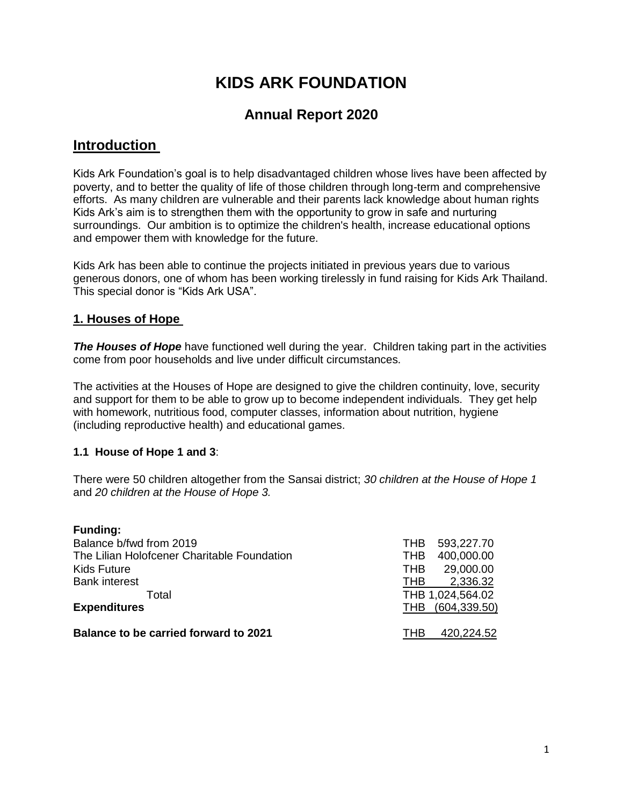# **KIDS ARK FOUNDATION**

# **Annual Report 2020**

# **Introduction**

Kids Ark Foundation's goal is to help disadvantaged children whose lives have been affected by poverty, and to better the quality of life of those children through long-term and comprehensive efforts. As many children are vulnerable and their parents lack knowledge about human rights Kids Ark's aim is to strengthen them with the opportunity to grow in safe and nurturing surroundings. Our ambition is to optimize the children's health, increase educational options and empower them with knowledge for the future.

Kids Ark has been able to continue the projects initiated in previous years due to various generous donors, one of whom has been working tirelessly in fund raising for Kids Ark Thailand. This special donor is "Kids Ark USA".

# **1. Houses of Hope**

**The Houses of Hope** have functioned well during the year. Children taking part in the activities come from poor households and live under difficult circumstances.

The activities at the Houses of Hope are designed to give the children continuity, love, security and support for them to be able to grow up to become independent individuals. They get help with homework, nutritious food, computer classes, information about nutrition, hygiene (including reproductive health) and educational games.

# **1.1 House of Hope 1 and 3**:

There were 50 children altogether from the Sansai district; *30 children at the House of Hope 1* and *20 children at the House of Hope 3.*

| <b>Funding:</b>                              |            |                  |
|----------------------------------------------|------------|------------------|
| Balance b/fwd from 2019                      | <b>THB</b> | 593,227.70       |
| The Lilian Holofcener Charitable Foundation  | <b>THB</b> | 400,000.00       |
| <b>Kids Future</b>                           | <b>THB</b> | 29,000.00        |
| <b>Bank interest</b>                         | <b>THB</b> | 2,336.32         |
| Total                                        |            | THB 1,024,564.02 |
| <b>Expenditures</b>                          | <b>THB</b> | (604, 339.50)    |
|                                              |            |                  |
| <b>Balance to be carried forward to 2021</b> | THB        | 420,224.52       |
|                                              |            |                  |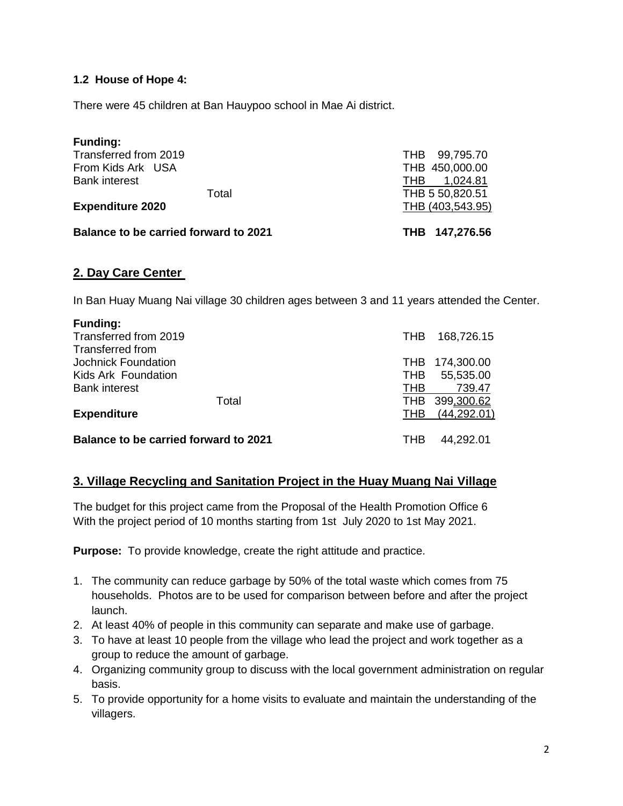### **1.2 House of Hope 4:**

There were 45 children at Ban Hauypoo school in Mae Ai district.

| <b>Balance to be carried forward to 2021</b> | THB 147,276.56    |
|----------------------------------------------|-------------------|
| <b>Expenditure 2020</b>                      | THB (403,543.95)  |
| Total                                        | THB 5 50,820.51   |
| <b>Bank interest</b>                         | 1,024.81<br>THB.  |
| From Kids Ark USA                            | THB 450,000.00    |
| Transferred from 2019                        | 99,795.70<br>THB. |
| <b>Funding:</b>                              |                   |

# **2. Day Care Center**

In Ban Huay Muang Nai village 30 children ages between 3 and 11 years attended the Center.

| <b>THB</b> | 168,726.15     |
|------------|----------------|
|            |                |
|            | THB 174,300.00 |
| <b>THB</b> | 55,535.00      |
| THB        | 739.47         |
| <b>THB</b> | 399,300.62     |
| THB        | (44, 292.01)   |
| THB        | 44,292.01      |
|            |                |

#### **3. Village Recycling and Sanitation Project in the Huay Muang Nai Village**

The budget for this project came from the Proposal of the Health Promotion Office 6 With the project period of 10 months starting from 1st July 2020 to 1st May 2021.

**Purpose:** To provide knowledge, create the right attitude and practice.

- 1. The community can reduce garbage by 50% of the total waste which comes from 75 households. Photos are to be used for comparison between before and after the project launch.
- 2. At least 40% of people in this community can separate and make use of garbage.
- 3. To have at least 10 people from the village who lead the project and work together as a group to reduce the amount of garbage.
- 4. Organizing community group to discuss with the local government administration on regular basis.
- 5. To provide opportunity for a home visits to evaluate and maintain the understanding of the villagers.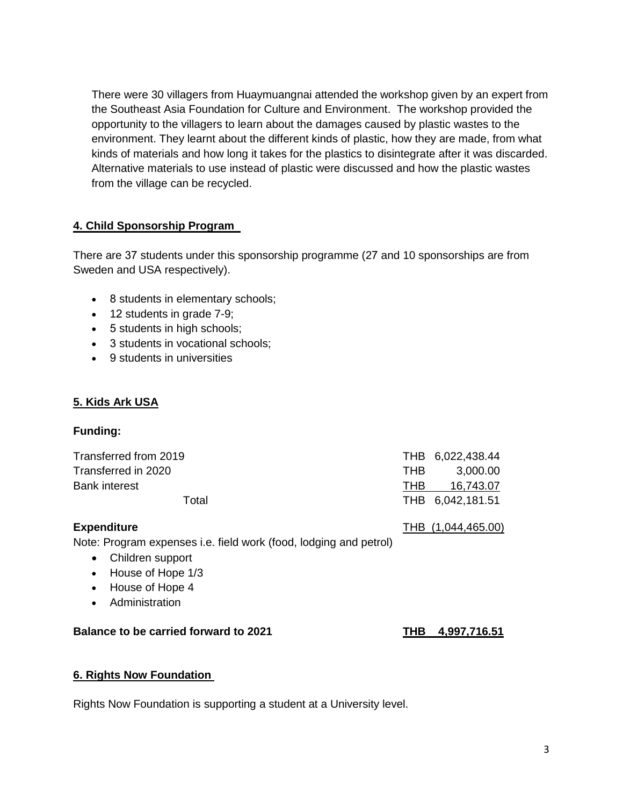There were 30 villagers from Huaymuangnai attended the workshop given by an expert from the Southeast Asia Foundation for Culture and Environment. The workshop provided the opportunity to the villagers to learn about the damages caused by plastic wastes to the environment. They learnt about the different kinds of plastic, how they are made, from what kinds of materials and how long it takes for the plastics to disintegrate after it was discarded. Alternative materials to use instead of plastic were discussed and how the plastic wastes from the village can be recycled.

# **4. Child Sponsorship Program**

There are 37 students under this sponsorship programme (27 and 10 sponsorships are from Sweden and USA respectively).

- 8 students in elementary schools;
- 12 students in grade 7-9;
- 5 students in high schools;
- 3 students in vocational schools;
- 9 students in universities

# **5. Kids Ark USA**

# **Funding:**

| THB 6,022,438.44 |
|------------------|
| 3,000.00         |
| 16.743.07        |
| THB 6,042,181.51 |
|                  |

**Expenditure** THB (1,044,465.00)

Note: Program expenses i.e. field work (food, lodging and petrol)

- Children support
- House of Hope 1/3
- House of Hope 4
- **•** Administration

# **Balance to be carried forward to 2021 THB 4,997,716.51**

# **6. Rights Now Foundation**

Rights Now Foundation is supporting a student at a University level.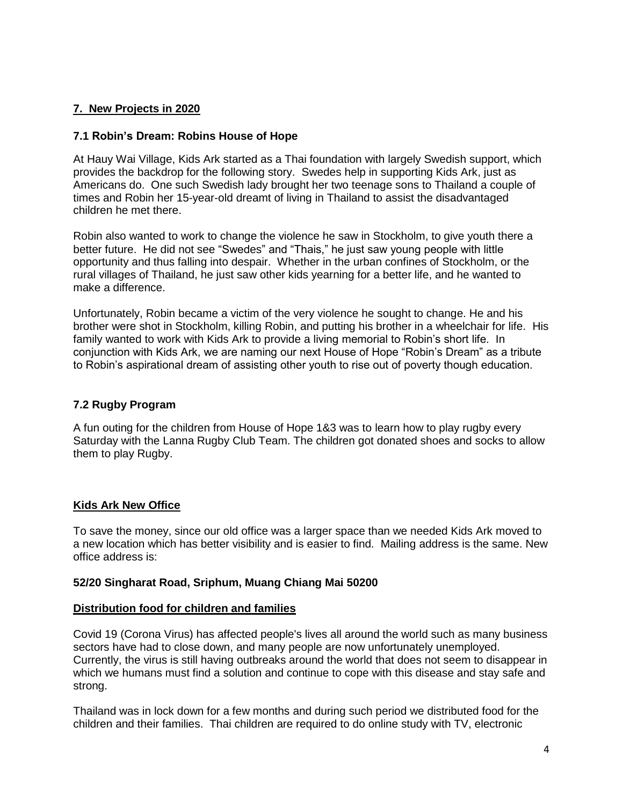# **7. New Projects in 2020**

#### **7.1 Robin's Dream: Robins House of Hope**

At Hauy Wai Village, Kids Ark started as a Thai foundation with largely Swedish support, which provides the backdrop for the following story. Swedes help in supporting Kids Ark, just as Americans do. One such Swedish lady brought her two teenage sons to Thailand a couple of times and Robin her 15-year-old dreamt of living in Thailand to assist the disadvantaged children he met there.

Robin also wanted to work to change the violence he saw in Stockholm, to give youth there a better future. He did not see "Swedes" and "Thais," he just saw young people with little opportunity and thus falling into despair. Whether in the urban confines of Stockholm, or the rural villages of Thailand, he just saw other kids yearning for a better life, and he wanted to make a difference.

Unfortunately, Robin became a victim of the very violence he sought to change. He and his brother were shot in Stockholm, killing Robin, and putting his brother in a wheelchair for life. His family wanted to work with Kids Ark to provide a living memorial to Robin's short life. In conjunction with Kids Ark, we are naming our next House of Hope "Robin's Dream" as a tribute to Robin's aspirational dream of assisting other youth to rise out of poverty though education.

#### **7.2 Rugby Program**

A fun outing for the children from House of Hope 1&3 was to learn how to play rugby every Saturday with the Lanna Rugby Club Team. The children got donated shoes and socks to allow them to play Rugby.

#### **Kids Ark New Office**

To save the money, since our old office was a larger space than we needed Kids Ark moved to a new location which has better visibility and is easier to find. Mailing address is the same. New office address is:

#### **52/20 Singharat Road, Sriphum, Muang Chiang Mai 50200**

#### **Distribution food for children and families**

Covid 19 (Corona Virus) has affected people's lives all around the world such as many business sectors have had to close down, and many people are now unfortunately unemployed. Currently, the virus is still having outbreaks around the world that does not seem to disappear in which we humans must find a solution and continue to cope with this disease and stay safe and strong.

Thailand was in lock down for a few months and during such period we distributed food for the children and their families. Thai children are required to do online study with TV, electronic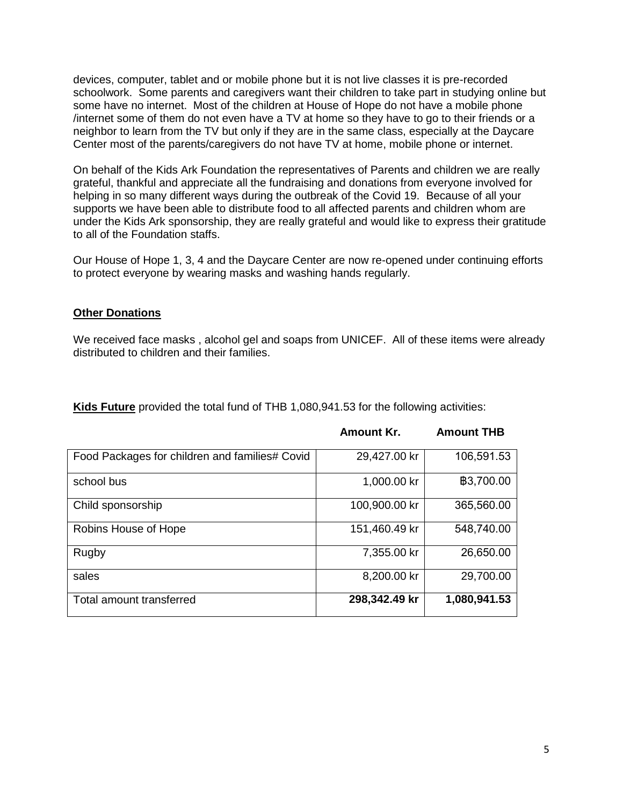devices, computer, tablet and or mobile phone but it is not live classes it is pre-recorded schoolwork. Some parents and caregivers want their children to take part in studying online but some have no internet. Most of the children at House of Hope do not have a mobile phone /internet some of them do not even have a TV at home so they have to go to their friends or a neighbor to learn from the TV but only if they are in the same class, especially at the Daycare Center most of the parents/caregivers do not have TV at home, mobile phone or internet.

On behalf of the Kids Ark Foundation the representatives of Parents and children we are really grateful, thankful and appreciate all the fundraising and donations from everyone involved for helping in so many different ways during the outbreak of the Covid 19. Because of all your supports we have been able to distribute food to all affected parents and children whom are under the Kids Ark sponsorship, they are really grateful and would like to express their gratitude to all of the Foundation staffs.

Our House of Hope 1, 3, 4 and the Daycare Center are now re-opened under continuing efforts to protect everyone by wearing masks and washing hands regularly.

#### **Other Donations**

We received face masks , alcohol gel and soaps from UNICEF. All of these items were already distributed to children and their families.

**Amount Kr. Amount THB**

| Food Packages for children and families# Covid | 29,427.00 kr  | 106,591.53   |
|------------------------------------------------|---------------|--------------|
| school bus                                     | 1,000.00 kr   | ₿3,700.00    |
| Child sponsorship                              | 100,900.00 kr | 365,560.00   |
| Robins House of Hope                           | 151,460.49 kr | 548,740.00   |
| Rugby                                          | 7,355.00 kr   | 26,650.00    |
| sales                                          | 8,200.00 kr   | 29,700.00    |
| Total amount transferred                       | 298,342.49 kr | 1,080,941.53 |

**Kids Future** provided the total fund of THB 1,080,941.53 for the following activities: